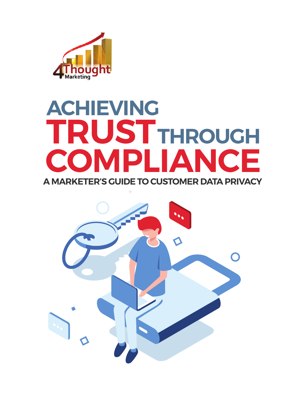

# **A MARKETER'S GUIDE TO CUSTOMER DATA PRIVACY TRUST THROUGHCOMPLIANCE ACHIEVING**

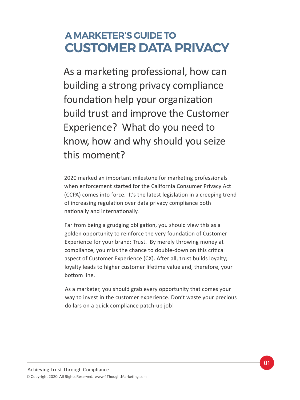#### **A MARKETER'S GUIDE TO CUSTOMER DATA PRIVACY**

As a marketing professional, how can building a strong privacy compliance foundation help your organization build trust and improve the Customer Experience? What do you need to know, how and why should you seize this moment?

2020 marked an important milestone for marketing professionals when enforcement started for the California Consumer Privacy Act (CCPA) comes into force. It's the latest legislation in a creeping trend of increasing regulation over data privacy compliance both nationally and internationally.

Far from being a grudging obligation, you should view this as a golden opportunity to reinforce the very foundation of Customer Experience for your brand: Trust. By merely throwing money at compliance, you miss the chance to double-down on this critical aspect of Customer Experience (CX). After all, trust builds loyalty; loyalty leads to higher customer lifetime value and, therefore, your bo�om line.

As a marketer, you should grab every opportunity that comes your way to invest in the customer experience. Don't waste your precious dollars on a quick compliance patch-up job!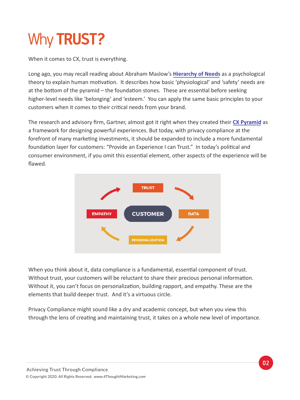# Why **TRUST?**

When it comes to CX, trust is everything.

Long ago, you may recall reading about Abraham Maslow's **[Hierarchy of Needs](https://en.wikipedia.org/wiki/Maslow)** as a psychological theory to explain human motivation. It describes how basic 'physiological' and 'safety' needs are at the bottom of the pyramid – the foundation stones. These are essential before seeking higher-level needs like 'belonging' and 'esteem.' You can apply the same basic principles to your customers when it comes to their critical needs from your brand.

The research and advisory firm, Gartner, almost got it right when they created their **[CX Pyramid](https://www.gartner.com/en/marketing/insights/articles/create-powerful-customer-experiences)** as a framework for designing powerful experiences. But today, with privacy compliance at the forefront of many marketing investments, it should be expanded to include a more fundamental foundation layer for customers: "Provide an Experience I can Trust." In today's political and consumer environment, if you omit this essential element, other aspects of the experience will be flawed.



When you think about it, data compliance is a fundamental, essential component of trust. Without trust, your customers will be reluctant to share their precious personal information. Without it, you can't focus on personalization, building rapport, and empathy. These are the elements that build deeper trust. And it's a virtuous circle.

Privacy Compliance might sound like a dry and academic concept, but when you view this through the lens of creating and maintaining trust, it takes on a whole new level of importance.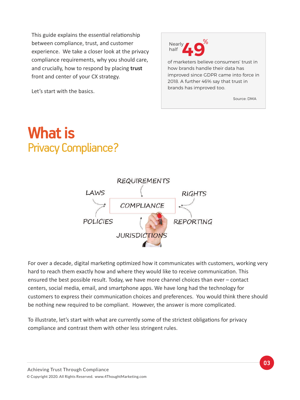This guide explains the essential relationship between compliance, trust, and customer experience. We take a closer look at the privacy compliance requirements, why you should care, and crucially, how to respond by placing **trust**  front and center of your CX strategy.

Let's start with the basics.



of marketers believe consumers' trust in how brands handle their data has improved since GDPR came into force in 2018. A further 46% say that trust in brands has improved too.

Source: DMA

## Privacy Compliance? **What is**



For over a decade, digital marketing optimized how it communicates with customers, working very hard to reach them exactly how and where they would like to receive communication. This ensured the best possible result. Today, we have more channel choices than ever – contact centers, social media, email, and smartphone apps. We have long had the technology for customers to express their communication choices and preferences. You would think there should be nothing new required to be compliant. However, the answer is more complicated.

To illustrate, let's start with what are currently some of the strictest obligations for privacy compliance and contrast them with other less stringent rules.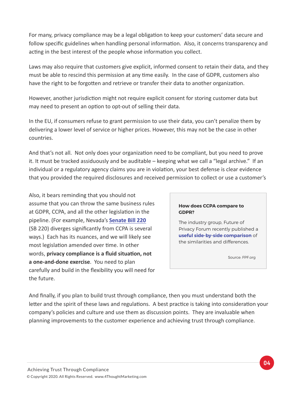For many, privacy compliance may be a legal obligation to keep your customers' data secure and follow specific guidelines when handling personal information. Also, it concerns transparency and acting in the best interest of the people whose information you collect.

Laws may also require that customers give explicit, informed consent to retain their data, and they must be able to rescind this permission at any time easily. In the case of GDPR, customers also have the right to be forgotten and retrieve or transfer their data to another organization.

However, another jurisdiction might not require explicit consent for storing customer data but may need to present an option to opt-out of selling their data.

In the EU, if consumers refuse to grant permission to use their data, you can't penalize them by delivering a lower level of service or higher prices. However, this may not be the case in other countries.

And that's not all. Not only does your organization need to be compliant, but you need to prove it. It must be tracked assiduously and be auditable – keeping what we call a "legal archive." If an individual or a regulatory agency claims you are in violation, your best defense is clear evidence that you provided the required disclosures and received permission to collect or use a customer's

Also, it bears reminding that you should not assume that you can throw the same business rules at GDPR, CCPA, and all the other legislation in the pipeline. (For example, Nevada's **[Senate Bill 220](https://www.insideprivacy.com/united-states/state-legislatures/nevadas-new-consumer-privacy-law-departs-significantly-from-the-california-ccpa/)**  (SB 220) diverges significantly from CCPA is several ways.) Each has its nuances, and we will likely see most legislation amended over time. In other words, privacy compliance is a fluid situation, not **a one-and-done exercise**. You need to plan carefully and build in the flexibility you will need for the future.

#### **How does CCPA compare to GDPR?**

The industry group, Future of Privacy Forum recently published a **[useful side-by-side comparison](https://fpf.org/2018/11/28/fpf-and-dataguidance-comparison-guide-gdpr-vs-ccpa/)** of the similarities and differences.

Source: FPF.org

And finally, if you plan to build trust through compliance, then you must understand both the letter and the spirit of these laws and regulations. A best practice is taking into consideration your company's policies and culture and use them as discussion points. They are invaluable when planning improvements to the customer experience and achieving trust through compliance.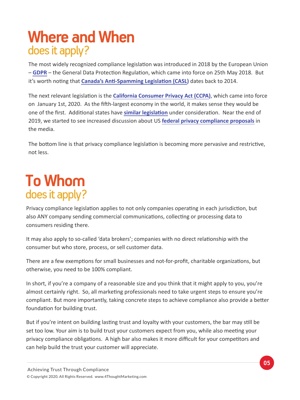# **Where and When** does it apply?

The most widely recognized compliance legislation was introduced in 2018 by the European Union – **[GDPR](https://gdpr-info.eu/)** – the General Data Protec�on Regula�on, which came into force on 25th May 2018. But it's worth noting that **Canada's Anti-Spamming Legislation (CASL)** dates back to 2014.

The next relevant legislation is the **[California Consumer Privacy Act \(CCPA\)](https://oag.ca.gov/privacy/ccpa)**, which came into force on January 1st, 2020. As the fifth-largest economy in the world, it makes sense they would be one of the first. Additional states have similar legislation under consideration. Near the end of 2019, we started to see increased discussion about US **[federal privacy compliance proposals](https://www.cpomagazine.com/data-protection/us-senators-introduce-new-copra-digital-privacy-act/)** in the media.

The bottom line is that privacy compliance legislation is becoming more pervasive and restrictive, not less.

# **To Whom** does it apply?

Privacy compliance legislation applies to not only companies operating in each jurisdiction, but also ANY company sending commercial communications, collecting or processing data to consumers residing there.

It may also apply to so-called 'data brokers'; companies with no direct relationship with the consumer but who store, process, or sell customer data.

There are a few exemptions for small businesses and not-for-profit, charitable organizations, but otherwise, you need to be 100% compliant.

In short, if you're a company of a reasonable size and you think that it might apply to you, you're almost certainly right. So, all marketing professionals need to take urgent steps to ensure you're compliant. But more importantly, taking concrete steps to achieve compliance also provide a better foundation for building trust.

But if you're intent on building lasting trust and loyalty with your customers, the bar may still be set too low. Your aim is to build trust your customers expect from you, while also meeting your privacy compliance obligations. A high bar also makes it more difficult for your competitors and can help build the trust your customer will appreciate.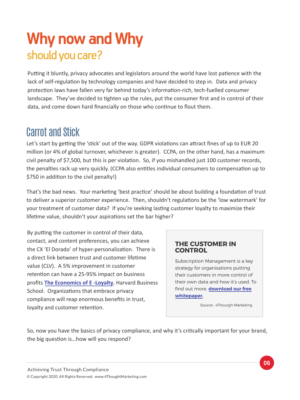# should you care? **Why now and Why**

Putting it bluntly, privacy advocates and legislators around the world have lost patience with the lack of self-regulation by technology companies and have decided to step in. Data and privacy protection laws have fallen very far behind today's information-rich, tech-fuelled consumer landscape. They've decided to tighten up the rules, put the consumer first and in control of their data, and come down hard financially on those who continue to flout them.

#### Carrot and Stick

Let's start by getting the 'stick' out of the way. GDPR violations can attract fines of up to EUR 20 million (or 4% of global turnover, whichever is greater). CCPA, on the other hand, has a maximum civil penalty of \$7,500, but this is per violation. So, if you mishandled just 100 customer records, the penalties rack up very quickly. (CCPA also entitles individual consumers to compensation up to \$750 in addition to the civil penalty!)

That's the bad news. Your marketing 'best practice' should be about building a foundation of trust to deliver a superior customer experience. Then, shouldn't regulations be the 'low watermark' for your treatment of customer data? If you're seeking lasting customer loyalty to maximize their lifetime value, shouldn't your aspirations set the bar higher?

By putting the customer in control of their data, contact, and content preferences, you can achieve the CX 'El Dorado' of hyper-personalization. There is a direct link between trust and customer lifetime value (CLV). A 5% improvement in customer retention can have a 25-95% impact on business profits **[The Economics of E -Loyalty](https://hbswk.hbs.edu/archive/the-economics-of-e-loyalty)**, Harvard Business School. Organizations that embrace privacy compliance will reap enormous benefits in trust, loyalty and customer retention.

#### **THE CUSTOMER IN CONTROL**

Subscription Management is a key strategy for organisations putting their customers in more control of their own data and how it's used. To find out more, **[download our free](http://web.4thoughtmarketing.com/SubscriptionManagementWP) [whitepaper](http://web.4thoughtmarketing.com/SubscriptionManagementWP).**

Source : 4Thourgh Marketing

So, now you have the basics of privacy compliance, and why it's critically important for your brand, the big question is...how will you respond?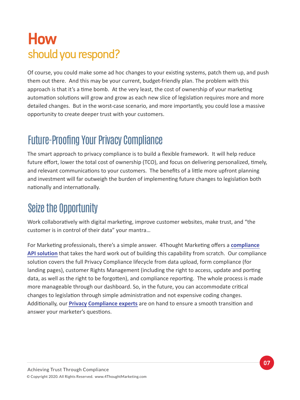# **How** should you respond?

Of course, you could make some ad hoc changes to your existing systems, patch them up, and push them out there. And this may be your current, budget-friendly plan. The problem with this approach is that it's a time bomb. At the very least, the cost of ownership of your marketing automation solutions will grow and grow as each new slice of legislation requires more and more detailed changes. But in the worst-case scenario, and more importantly, you could lose a massive opportunity to create deeper trust with your customers.

### Future-Proofing Your Privacy Compliance

The smart approach to privacy compliance is to build a flexible framework. It will help reduce future effort, lower the total cost of ownership (TCO), and focus on delivering personalized, timely, and relevant communications to your customers. The benefits of a little more upfront planning and investment will far outweigh the burden of implementing future changes to legislation both nationally and internationally.

### Seize the Opportunity

Work collaboratively with digital marketing, improve customer websites, make trust, and "the customer is in control of their data" your mantra…

For Marketing professionals, there's a simple answer. 4Thought Marketing offers a **compliance API solution** [that takes the hard work out of building this capability from scratch. Our complian](https://4comply.io)ce solution covers the full Privacy Compliance lifecycle from data upload, form compliance (for landing pages), customer Rights Management (including the right to access, update and porting data, as well as the right to be forgotten), and compliance reporting. The whole process is made more manageable through our dashboard. So, in the future, you can accommodate critical changes to legislation through simple administration and not expensive coding changes. Additionally, our **[Privacy Compliance experts](https://4thoughtmarketing.com/privacy-compliance-consulting-oracle-eloqua/)** are on hand to ensure a smooth transition and answer your marketer's questions.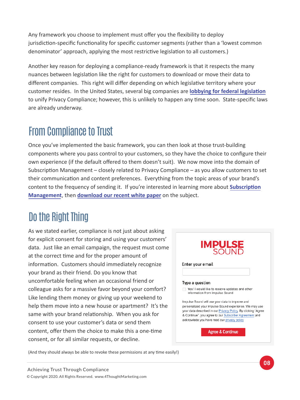Any framework you choose to implement must offer you the flexibility to deploy jurisdiction-specific functionality for specific customer segments (rather than a 'lowest common denominator' approach, applying the most restrictive legislation to all customers.)

Another key reason for deploying a compliance-ready framework is that it respects the many nuances between legislation like the right for customers to download or move their data to different companies. This right will differ depending on which legislative territory where your customer resides. In the United States, several big companies are **[lobbying for federal legisla�on](https://techcrunch.com/2019/09/10/americas-largest-companies-push-for-federal-online-privacy-laws-to-circumvent-state-regulatory-efforts/)** to unify Privacy Compliance; however, this is unlikely to happen any time soon. State-specific laws are already underway.

## From Compliance to Trust

Once you've implemented the basic framework, you can then look at those trust-building components where you pass control to your customers, so they have the choice to configure their own experience (if the default offered to them doesn't suit). We now move into the domain of Subscription Management – closely related to Privacy Compliance – as you allow customers to set their communication and content preferences. Everything from the topic areas of your brand's content to the frequency of sending it. If you're interested in learning more about **[Subscrip�on](http://web.4thoughtmarketing.com/SubscriptionManagementWP)  [Management](http://web.4thoughtmarketing.com/SubscriptionManagementWP)**, then **[download our recent white paper](http://web.4thoughtmarketing.com/SubscriptionManagementWP)** on the subject.

### Do the Right Thing

As we stated earlier, compliance is not just about asking for explicit consent for storing and using your customers' data. Just like an email campaign, the request must come at the correct time and for the proper amount of information. Customers should immediately recognize your brand as their friend. Do you know that uncomfortable feeling when an occasional friend or colleague asks for a massive favor beyond your comfort? Like lending them money or giving up your weekend to help them move into a new house or apartment? It's the same with your brand relationship. When you ask for consent to use your customer's data or send them content, offer them the choice to make this a one-time consent, or for all similar requests, or decline.

| <b>IMPULSE</b><br>SOUND<br>Enter your email |                                                                                                                                                                        |
|---------------------------------------------|------------------------------------------------------------------------------------------------------------------------------------------------------------------------|
|                                             |                                                                                                                                                                        |
|                                             | Yes! I would like to recieve updates and other<br>information from Impulse Sound                                                                                       |
|                                             | Impulse Sound will use your data to improve and                                                                                                                        |
|                                             | personalized your Impulse Sound experience. We may use                                                                                                                 |
|                                             | your data described in our Privacy Policy. By clicking "Agree<br>& Continue", you agree to our Subscriber Agreement and<br>acknowlede you have read our privacy policy |
|                                             | <b>Agree &amp; Continue</b>                                                                                                                                            |

(And they should always be able to revoke these permissions at any time easily!)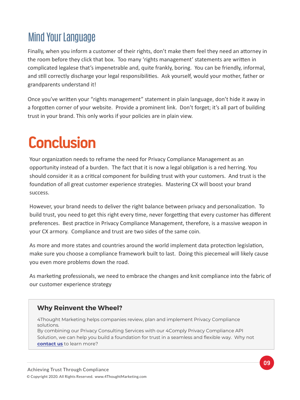### Mind Your Language

Finally, when you inform a customer of their rights, don't make them feel they need an attorney in the room before they click that box. Too many 'rights management' statements are written in complicated legalese that's impenetrable and, quite frankly, boring. You can be friendly, informal, and still correctly discharge your legal responsibilities. Ask yourself, would your mother, father or grandparents understand it!

Once you've wri�en your "rights management" statement in plain language, don't hide it away in a forgotten corner of your website. Provide a prominent link. Don't forget; it's all part of building trust in your brand. This only works if your policies are in plain view.

# **Conclusion**

Your organization needs to reframe the need for Privacy Compliance Management as an opportunity instead of a burden. The fact that it is now a legal obligation is a red herring. You should consider it as a critical component for building trust with your customers. And trust is the foundation of all great customer experience strategies. Mastering CX will boost your brand success.

However, your brand needs to deliver the right balance between privacy and personalization. To build trust, you need to get this right every time, never forgetting that every customer has different preferences. Best practice in Privacy Compliance Management, therefore, is a massive weapon in your CX armory. Compliance and trust are two sides of the same coin.

As more and more states and countries around the world implement data protection legislation, make sure you choose a compliance framework built to last. Doing this piecemeal will likely cause you even more problems down the road.

As marketing professionals, we need to embrace the changes and knit compliance into the fabric of our customer experience strategy

#### **Why Reinvent the Wheel?**

4Thought Marketing helps companies review, plan and implement Privacy Compliance solutions.

By combining our Privacy Consulting Services with our 4Comply Privacy Compliance API Solution, we can help you build a foundation for trust in a seamless and flexible way. Why not **[contact us](https://4comply.io/contact-us)** to learn more?